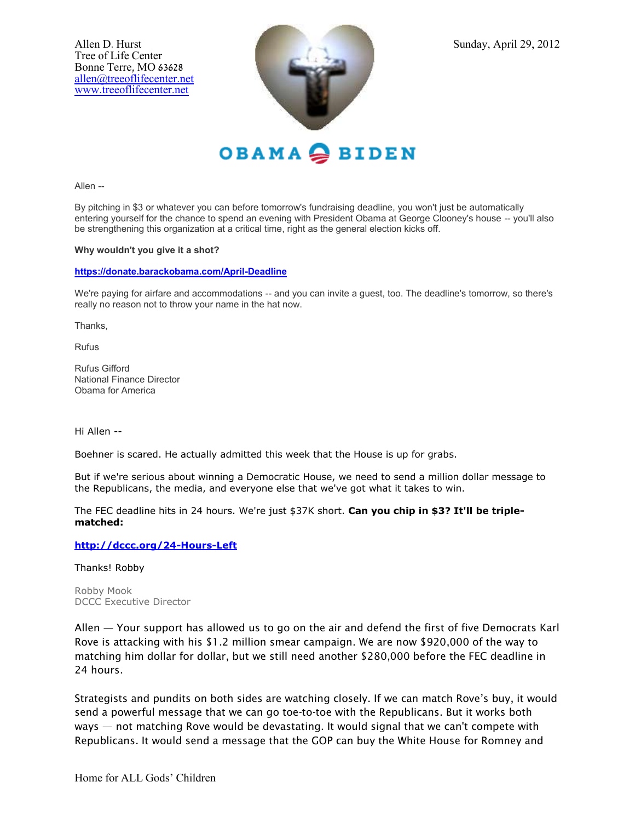

OBAMA SBIDEN

Allen --

By pitching in \$3 or whatever you can before tomorrow's fundraising deadline, you won't just be automatically entering yourself for the chance to spend an evening with President Obama at George Clooney's house -- you'll also be strengthening this organization at a critical time, right as the general election kicks off.

### **Why wouldn't you give it a shot?**

#### **[https://donate.barackobama.com/April-Deadline](https://my.barackobama.com/page/m/55c17173/6c30f5a5/19086b0ce/110f7290/3170294475/VEsH/)**

We're paying for airfare and accommodations -- and you can invite a guest, too. The deadline's tomorrow, so there's really no reason not to throw your name in the hat now.

Thanks,

Rufus

Rufus Gifford National Finance Director Obama for America

Hi Allen --

Boehner is scared. He actually admitted this week that the House is up for grabs.

But if we're serious about winning a Democratic House, we need to send a million dollar message to the Republicans, the media, and everyone else that we've got what it takes to win.

The FEC deadline hits in 24 hours. We're just \$37K short. **Can you chip in \$3? It'll be triplematched:**

### **[http://dccc.org/24-Hours-Left](http://www.dccc.org/page/m/1d63ce98/1b963858/2aa85a7f/4e0ccaf7/1301715546/VEsH/)**

Thanks! Robby

Robby Mook DCCC Executive Director

Allen — Your support has allowed us to go on the air and defend the first of five Democrats Karl Rove is attacking with his \$1.2 million smear campaign. We are now \$920,000 of the way to matching him dollar for dollar, but we still need another \$280,000 before the FEC deadline in 24 hours.

Strategists and pundits on both sides are watching closely. If we can match Rove's buy, it would send a powerful message that we can go toe-to-toe with the Republicans. But it works both ways — not matching Rove would be devastating. It would signal that we can't compete with Republicans. It would send a message that the GOP can buy the White House for Romney and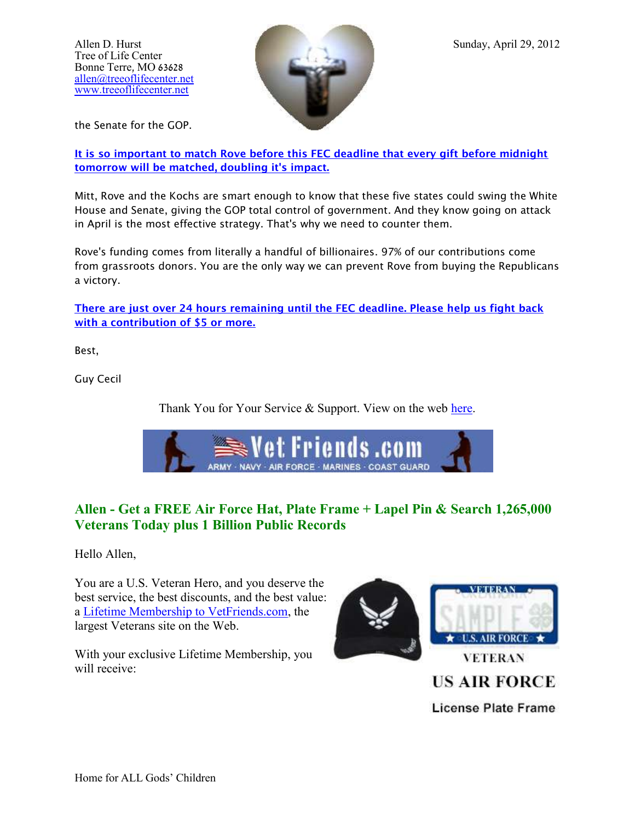

the Senate for the GOP.

**[It is so important to match Rove before this FEC deadline that every gift before midnight](https://dscc.org/salsa/track.jsp?v=2&c=S6iRYqTji0XXxbteFPrl2NwIBfHHnWMg)  [tomorrow will be matched, doubling it's impact.](https://dscc.org/salsa/track.jsp?v=2&c=S6iRYqTji0XXxbteFPrl2NwIBfHHnWMg)**

Mitt, Rove and the Kochs are smart enough to know that these five states could swing the White House and Senate, giving the GOP total control of government. And they know going on attack in April is the most effective strategy. That's why we need to counter them.

Rove's funding comes from literally a handful of billionaires. 97% of our contributions come from grassroots donors. You are the only way we can prevent Rove from buying the Republicans a victory.

**[There are just over 24 hours remaining until the FEC deadline. Please help us fight back](https://dscc.org/salsa/track.jsp?v=2&c=TNMEx2%2F91pEPdm6lEYyAFdwIBfHHnWMg)  [with a contribution of \\$5 or more.](https://dscc.org/salsa/track.jsp?v=2&c=TNMEx2%2F91pEPdm6lEYyAFdwIBfHHnWMg)**

Best,

Guy Cecil

Thank You for Your Service & Support. View on the web [here.](http://mim.io/cd6d82?fe=1&pact=8984690235)



# **Allen - Get a FREE Air Force Hat, Plate Frame + Lapel Pin & Search 1,265,000 Veterans Today plus 1 Billion Public Records**

Hello Allen,

You are a U.S. Veteran Hero, and you deserve the best service, the best discounts, and the best value: a [Lifetime Membership to VetFriends.com,](http://go.madmimi.com/redirects/1335729640-61f26ed90d36be45ef118b312d0beed8-18600b6?pa=8984690235) the largest Veterans site on the Web.

With your exclusive Lifetime Membership, you will receive:



**US AIR FORCE License Plate Frame**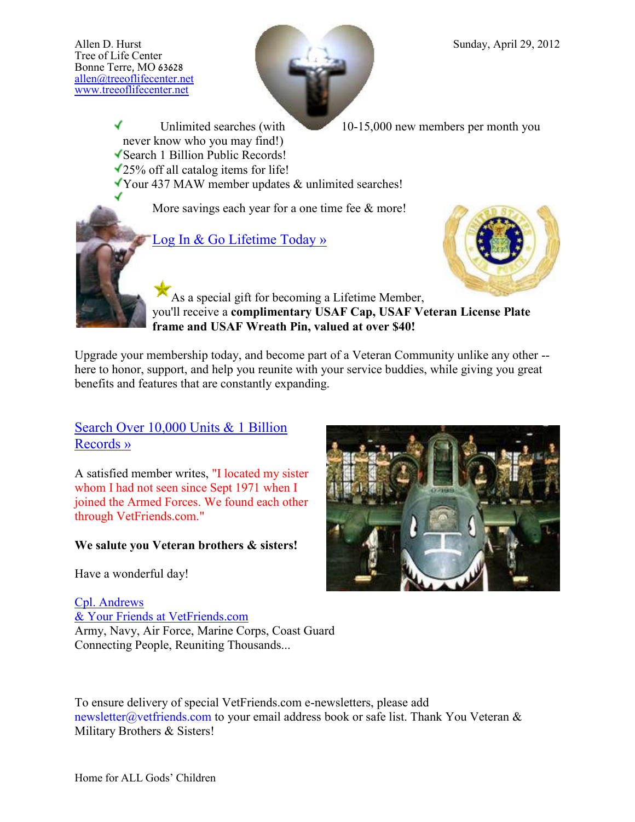

Unlimited searches (with 10-15,000 new members per month you

✔ never know who you may find!) Search 1 Billion Public Records!

25% off all catalog items for life!

Your 437 MAW member updates & unlimited searches!

More savings each year for a one time fee  $\&$  more!



[Log In & Go Lifetime Today »](http://go.madmimi.com/redirects/1335729640-1099f722fc923f78de55807ce99ce82c-18600b6?pa=8984690235)



As a special gift for becoming a Lifetime Member, you'll receive a **complimentary USAF Cap, USAF Veteran License Plate frame and USAF Wreath Pin, valued at over \$40!**

Upgrade your membership today, and become part of a Veteran Community unlike any other - here to honor, support, and help you reunite with your service buddies, while giving you great benefits and features that are constantly expanding.

Search Over 10,000 Units & 1 Billion [Records »](http://go.madmimi.com/redirects/1335729640-3d5a9bdb8a5a6d07cf157326f7cf5c5f-18600b6?pa=8984690235)

A satisfied member writes, "I located my sister whom I had not seen since Sept 1971 when I joined the Armed Forces. We found each other through VetFriends.com."

## **We salute you Veteran brothers & sisters!**

Have a wonderful day!

[Cpl. Andrews](http://go.madmimi.com/redirects/1335729640-fd6227b44d0668d909e0b8badba4b64c-18600b6?pa=8984690235) [& Your Friends at VetFriends.com](http://go.madmimi.com/redirects/1335729640-fd6227b44d0668d909e0b8badba4b64c-18600b6?pa=8984690235) Army, Navy, Air Force, Marine Corps, Coast Guard Connecting People, Reuniting Thousands...

To ensure delivery of special VetFriends.com e-newsletters, please add newsletter@vetfriends.com to your email address book or safe list. Thank You Veteran & Military Brothers & Sisters!